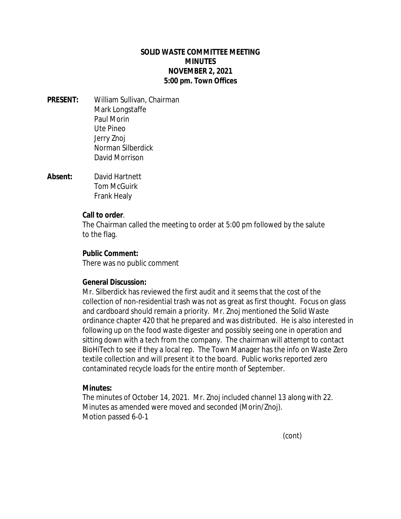# **SOLID WASTE COMMITTEE MEETING MINUTES NOVEMBER 2, 2021 5:00 pm. Town Offices**

- **PRESENT:** William Sullivan, Chairman Mark Longstaffe Paul Morin Ute Pineo Jerry Znoj Norman Silberdick David Morrison
- **Absent:** David Hartnett Tom McGuirk Frank Healy

### **Call to order**.

The Chairman called the meeting to order at 5:00 pm followed by the salute to the flag.

# **Public Comment:**

There was no public comment

### **General Discussion:**

Mr. Silberdick has reviewed the first audit and it seems that the cost of the collection of non-residential trash was not as great as first thought. Focus on glass and cardboard should remain a priority. Mr. Znoj mentioned the Solid Waste ordinance chapter 420 that he prepared and was distributed. He is also interested in following up on the food waste digester and possibly seeing one in operation and sitting down with a tech from the company. The chairman will attempt to contact BioHiTech to see if they a local rep. The Town Manager has the info on Waste Zero textile collection and will present it to the board. Public works reported zero contaminated recycle loads for the entire month of September.

### **Minutes:**

The minutes of October 14, 2021. Mr. Znoj included channel 13 along with 22. Minutes as amended were moved and seconded (Morin/Znoj). Motion passed 6-0-1

(cont)